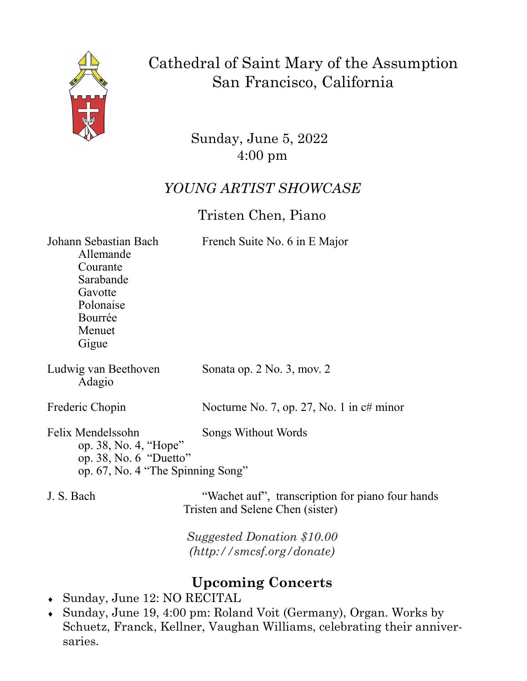

Cathedral of Saint Mary of the Assumption San Francisco, California

> Sunday, June 5, 2022 4:00 pm

## *YOUNG ARTIST SHOWCASE*

## Tristen Chen, Piano

Johann Sebastian Bach French Suite No. 6 in E Major

Allemande Courante Sarabande Gavotte Polonaise Bourrée Menuet Gigue

Adagio

Ludwig van Beethoven Sonata op. 2 No. 3, mov. 2

Frederic Chopin Nocturne No. 7, op. 27, No. 1 in c# minor

Felix Mendelssohn Songs Without Words op. 38, No. 4, "Hope" op. 38, No. 6 "Duetto" op. 67, No. 4 "The Spinning Song"

J. S. Bach "Wachet auf", transcription for piano four hands Tristen and Selene Chen (sister)

> *Suggested Donation \$10.00 (http://smcsf.org/donate)*

## **Upcoming Concerts**

- Sunday, June 12: NO RECITAL
- Sunday, June 19, 4:00 pm: Roland Voit (Germany), Organ. Works by Schuetz, Franck, Kellner, Vaughan Williams, celebrating their anniversaries.